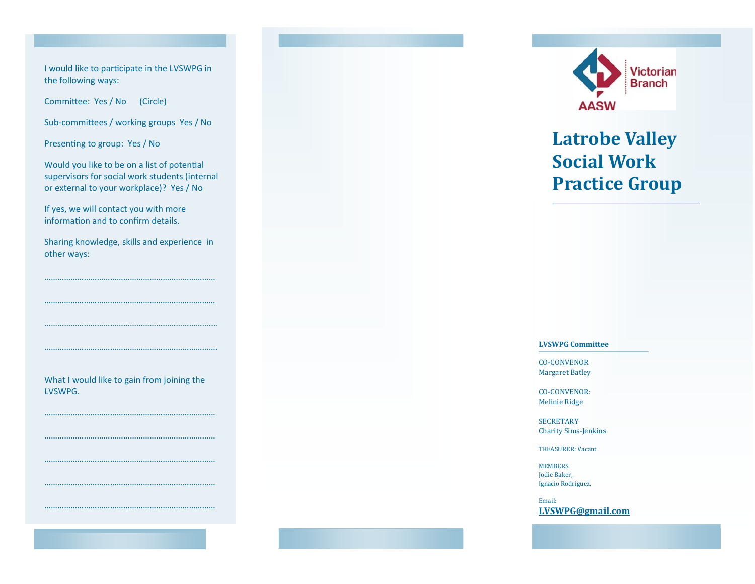I would like to participate in the LVSWPG in the following ways:

Committee: Yes / No (Circle)

Sub-committees / working groups Yes / No

Presenting to group: Yes / No

Would you like to be on a list of potential supervisors for social work students (internal or external to your workplace)? Yes / No

If yes, we will contact you with more information and to confirm details.

……………………………………………………………………

…………………………………………………………………….

Sharing knowledge, skills and experience in other ways:

……………………………………………………………………

What I would like to gain from joining the LVSWPG.

……………………………………………………………………

……………………………………………………………………

……………………………………………………………………

……………………………………………………………………

……………………………………………………………………

……………………………………………………



## **Latrobe Valley Social Work Practice Group**

## **LVSWPG Committee**

CO-CONVENOR Margaret Batley

CO-CONVENOR: Melinie Ridge

**SECRETARY** Charity Sims-Jenkins

TREASURER: Vacant

MEMBERS Jodie Baker, Ignacio Rodriguez,

Email: **[LVSWPG@gmail.com](mailto:LVSWPG@gmail.com)**